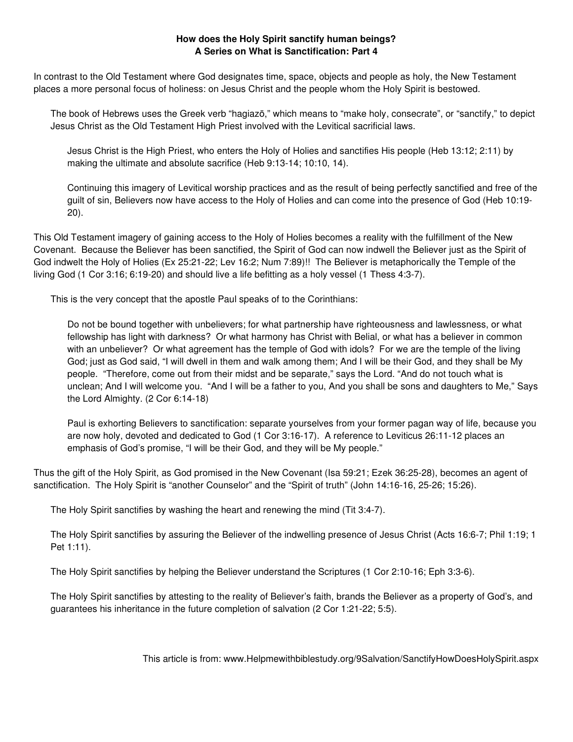## **How does the Holy Spirit sanctify human beings? A Series on What is Sanctification: Part 4**

In contrast to the Old Testament where God designates time, space, objects and people as holy, the New Testament places a more personal focus of holiness: on Jesus Christ and the people whom the Holy Spirit is bestowed.

The book of Hebrews uses the Greek verb "hagiazō," which means to "make holy, consecrate", or "sanctify," to depict Jesus Christ as the Old Testament High Priest involved with the Levitical sacrificial laws.

Jesus Christ is the High Priest, who enters the Holy of Holies and sanctifies His people (Heb 13:12; 2:11) by making the ultimate and absolute sacrifice (Heb 9:13-14; 10:10, 14).

Continuing this imagery of Levitical worship practices and as the result of being perfectly sanctified and free of the guilt of sin, Believers now have access to the Holy of Holies and can come into the presence of God (Heb 10:19- 20).

This Old Testament imagery of gaining access to the Holy of Holies becomes a reality with the fulfillment of the New Covenant. Because the Believer has been sanctified, the Spirit of God can now indwell the Believer just as the Spirit of God indwelt the Holy of Holies (Ex 25:21-22; Lev 16:2; Num 7:89)!! The Believer is metaphorically the Temple of the living God (1 Cor 3:16; 6:19-20) and should live a life befitting as a holy vessel (1 Thess 4:3-7).

This is the very concept that the apostle Paul speaks of to the Corinthians:

Do not be bound together with unbelievers; for what partnership have righteousness and lawlessness, or what fellowship has light with darkness? Or what harmony has Christ with Belial, or what has a believer in common with an unbeliever? Or what agreement has the temple of God with idols? For we are the temple of the living God; just as God said, "I will dwell in them and walk among them; And I will be their God, and they shall be My people. "Therefore, come out from their midst and be separate," says the Lord. "And do not touch what is unclean; And I will welcome you. "And I will be a father to you, And you shall be sons and daughters to Me," Says the Lord Almighty. (2 Cor 6:14-18)

Paul is exhorting Believers to sanctification: separate yourselves from your former pagan way of life, because you are now holy, devoted and dedicated to God (1 Cor 3:16-17). A reference to Leviticus 26:11-12 places an emphasis of God's promise, "I will be their God, and they will be My people."

Thus the gift of the Holy Spirit, as God promised in the New Covenant (Isa 59:21; Ezek 36:25-28), becomes an agent of sanctification. The Holy Spirit is "another Counselor" and the "Spirit of truth" (John 14:16-16, 25-26; 15:26).

The Holy Spirit sanctifies by washing the heart and renewing the mind (Tit 3:4-7).

The Holy Spirit sanctifies by assuring the Believer of the indwelling presence of Jesus Christ (Acts 16:6-7; Phil 1:19; 1 Pet 1:11).

The Holy Spirit sanctifies by helping the Believer understand the Scriptures (1 Cor 2:10-16; Eph 3:3-6).

The Holy Spirit sanctifies by attesting to the reality of Believer's faith, brands the Believer as a property of God's, and guarantees his inheritance in the future completion of salvation (2 Cor 1:21-22; 5:5).

This article is from: www.Helpmewithbiblestudy.org/9Salvation/SanctifyHowDoesHolySpirit.aspx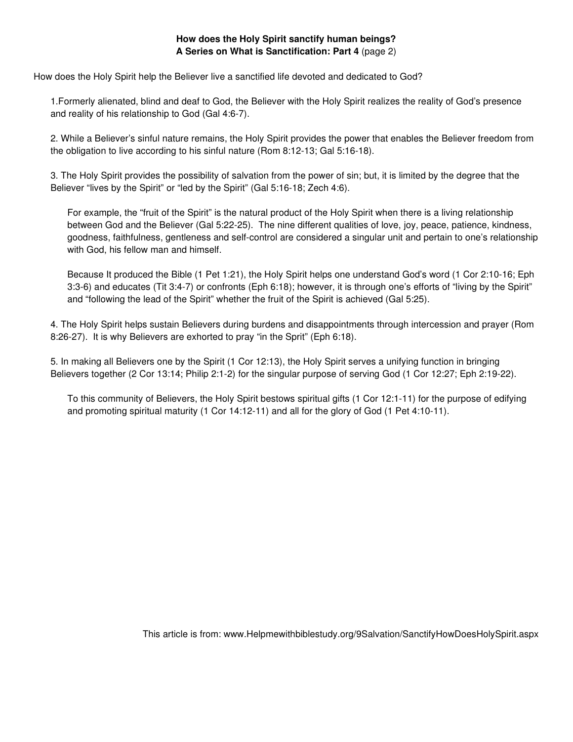## **How does the Holy Spirit sanctify human beings? A Series on What is Sanctification: Part 4** (page 2)

How does the Holy Spirit help the Believer live a sanctified life devoted and dedicated to God?

1.Formerly alienated, blind and deaf to God, the Believer with the Holy Spirit realizes the reality of God's presence and reality of his relationship to God (Gal 4:6-7).

2. While a Believer's sinful nature remains, the Holy Spirit provides the power that enables the Believer freedom from the obligation to live according to his sinful nature (Rom 8:12-13; Gal 5:16-18).

3. The Holy Spirit provides the possibility of salvation from the power of sin; but, it is limited by the degree that the Believer "lives by the Spirit" or "led by the Spirit" (Gal 5:16-18; Zech 4:6).

For example, the "fruit of the Spirit" is the natural product of the Holy Spirit when there is a living relationship between God and the Believer (Gal 5:22-25). The nine different qualities of love, joy, peace, patience, kindness, goodness, faithfulness, gentleness and self-control are considered a singular unit and pertain to one's relationship with God, his fellow man and himself.

Because It produced the Bible (1 Pet 1:21), the Holy Spirit helps one understand God's word (1 Cor 2:10-16; Eph 3:3-6) and educates (Tit 3:4-7) or confronts (Eph 6:18); however, it is through one's efforts of "living by the Spirit" and "following the lead of the Spirit" whether the fruit of the Spirit is achieved (Gal 5:25).

4. The Holy Spirit helps sustain Believers during burdens and disappointments through intercession and prayer (Rom 8:26-27). It is why Believers are exhorted to pray "in the Sprit" (Eph 6:18).

5. In making all Believers one by the Spirit (1 Cor 12:13), the Holy Spirit serves a unifying function in bringing Believers together (2 Cor 13:14; Philip 2:1-2) for the singular purpose of serving God (1 Cor 12:27; Eph 2:19-22).

To this community of Believers, the Holy Spirit bestows spiritual gifts (1 Cor 12:1-11) for the purpose of edifying and promoting spiritual maturity (1 Cor 14:12-11) and all for the glory of God (1 Pet 4:10-11).

This article is from: www.Helpmewithbiblestudy.org/9Salvation/SanctifyHowDoesHolySpirit.aspx